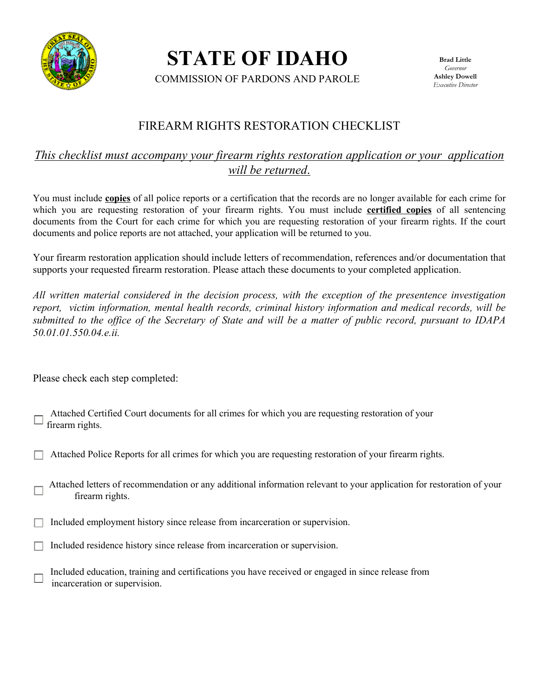

**STATE OF IDAHO** 

COMMISSION OF PARDONS AND PAROLE

**Brad Little**  *Governor*  **Ashley Dowell**  *Executive Director* 

## FIREARM RIGHTS RESTORATION CHECKLIST

### *This checklist must accompany your firearm rights restoration application or your application will be returned*.

You must include **copies** of all police reports or a certification that the records are no longer available for each crime for which you are requesting restoration of your firearm rights. You must include **certified copies** of all sentencing documents from the Court for each crime for which you are requesting restoration of your firearm rights. If the court documents and police reports are not attached, your application will be returned to you.

Your firearm restoration application should include letters of recommendation, references and/or documentation that supports your requested firearm restoration. Please attach these documents to your completed application.

*All written material considered in the decision process, with the exception of the presentence investigation report, victim information, mental health records, criminal history information and medical records, will be submitted to the office of the Secretary of State and will be a matter of public record, pursuant to IDAPA 50.01.01.550.04.e.ii.* 

Please check each step completed:

| $\rightarrow$ Attached Certified Court documents for all crimes for which you are requesting restoration of your |
|------------------------------------------------------------------------------------------------------------------|
| $\rightarrow$ firearm rights.                                                                                    |

Attached Police Reports for all crimes for which you are requesting restoration of your firearm rights.

 Attached letters of recommendation or any additional information relevant to your application for restoration of your firearm rights.

Included employment history since release from incarceration or supervision.

Included residence history since release from incarceration or supervision.

 Included education, training and certifications you have received or engaged in since release from incarceration or supervision.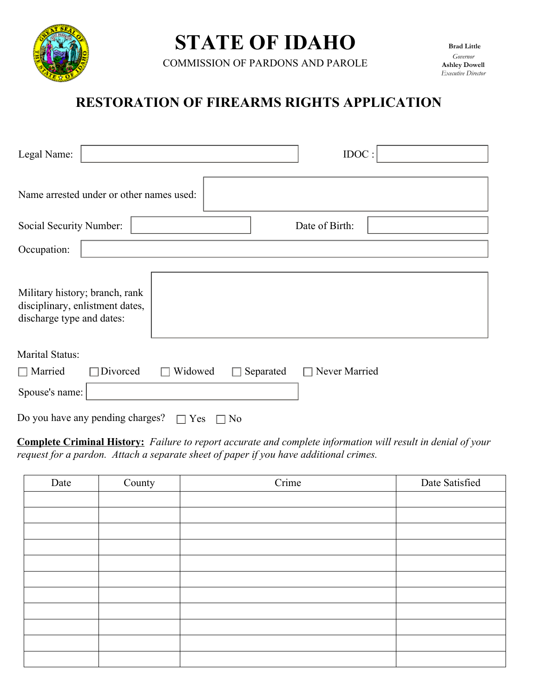

# **STATE OF IDAHO**

COMMISSION OF PARDONS AND PAROLE

## **RESTORATION OF FIREARMS RIGHTS APPLICATION**

| Legal Name:<br>IDOC:                                                                           |  |  |  |
|------------------------------------------------------------------------------------------------|--|--|--|
| Name arrested under or other names used:                                                       |  |  |  |
| Social Security Number:<br>Date of Birth:                                                      |  |  |  |
| Occupation:                                                                                    |  |  |  |
| Military history; branch, rank<br>disciplinary, enlistment dates,<br>discharge type and dates: |  |  |  |
| Marital Status:                                                                                |  |  |  |
| Divorced<br>Widowed<br>Never Married<br>$\Box$ Married<br>Separated                            |  |  |  |
| Spouse's name:                                                                                 |  |  |  |
| Do you have any pending charges?<br>Yes<br>No                                                  |  |  |  |

**Complete Criminal History:** *Failure to report accurate and complete information will result in denial of your request for a pardon. Attach a separate sheet of paper if you have additional crimes.* 

| Date | County | Crime | Date Satisfied |
|------|--------|-------|----------------|
|      |        |       |                |
|      |        |       |                |
|      |        |       |                |
|      |        |       |                |
|      |        |       |                |
|      |        |       |                |
|      |        |       |                |
|      |        |       |                |
|      |        |       |                |
|      |        |       |                |
|      |        |       |                |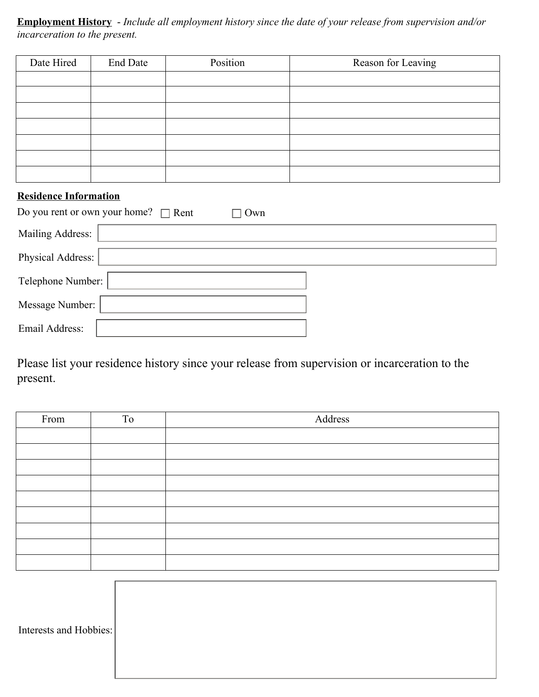**Employment History** - *Include all employment history since the date of your release from supervision and/or incarceration to the present.* 

| Date Hired | End Date | Position | Reason for Leaving |
|------------|----------|----------|--------------------|
|            |          |          |                    |
|            |          |          |                    |
|            |          |          |                    |
|            |          |          |                    |
|            |          |          |                    |
|            |          |          |                    |
|            |          |          |                    |

## **Residence Information**

| Do you rent or own your home? $\Box$ Rent<br>Own |  |  |  |
|--------------------------------------------------|--|--|--|
| Mailing Address:                                 |  |  |  |
| Physical Address:                                |  |  |  |
| Telephone Number:                                |  |  |  |
| Message Number:                                  |  |  |  |
| Email Address:                                   |  |  |  |

Please list your residence history since your release from supervision or incarceration to the present.

| From | To | Address |
|------|----|---------|
|      |    |         |
|      |    |         |
|      |    |         |
|      |    |         |
|      |    |         |
|      |    |         |
|      |    |         |
|      |    |         |
|      |    |         |

| Interests and Hobbies: |  |
|------------------------|--|
|                        |  |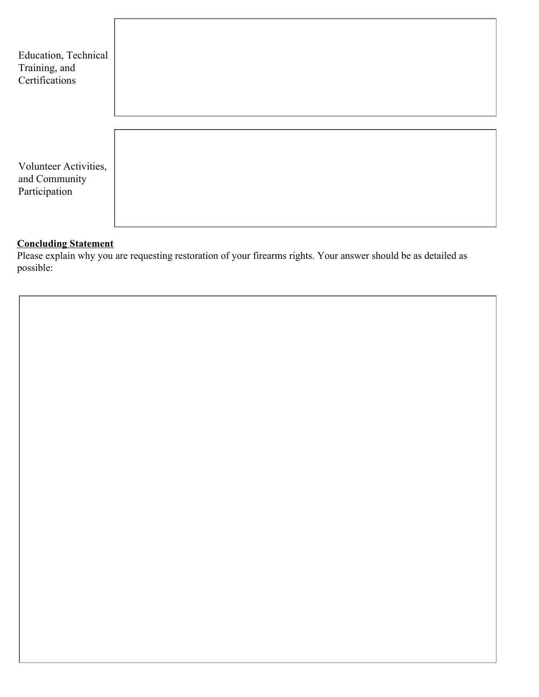

#### **Concluding Statement**

Please explain why you are requesting restoration of your firearms rights. Your answer should be as detailed as possible: